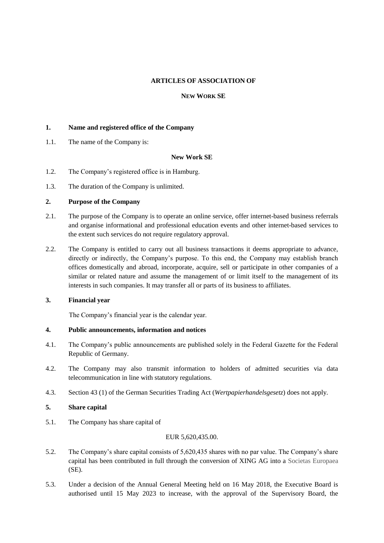# **ARTICLES OF ASSOCIATION OF**

# **NEW WORK SE**

# **1. Name and registered office of the Company**

1.1. The name of the Company is:

#### **New Work SE**

- 1.2. The Company's registered office is in Hamburg.
- 1.3. The duration of the Company is unlimited.

## **2. Purpose of the Company**

- 2.1. The purpose of the Company is to operate an online service, offer internet-based business referrals and organise informational and professional education events and other internet-based services to the extent such services do not require regulatory approval.
- 2.2. The Company is entitled to carry out all business transactions it deems appropriate to advance, directly or indirectly, the Company's purpose. To this end, the Company may establish branch offices domestically and abroad, incorporate, acquire, sell or participate in other companies of a similar or related nature and assume the management of or limit itself to the management of its interests in such companies. It may transfer all or parts of its business to affiliates.

#### **3. Financial year**

The Company's financial year is the calendar year.

#### **4. Public announcements, information and notices**

- 4.1. The Company's public announcements are published solely in the Federal Gazette for the Federal Republic of Germany.
- 4.2. The Company may also transmit information to holders of admitted securities via data telecommunication in line with statutory regulations.
- 4.3. Section 43 (1) of the German Securities Trading Act (*Wertpapierhandelsgesetz*) does not apply.

#### **5. Share capital**

5.1. The Company has share capital of

#### EUR 5,620,435.00.

- 5.2. The Company's share capital consists of 5,620,435 shares with no par value. The Company's share capital has been contributed in full through the conversion of XING AG into a Societas Europaea (SE).
- 5.3. Under a decision of the Annual General Meeting held on 16 May 2018, the Executive Board is authorised until 15 May 2023 to increase, with the approval of the Supervisory Board, the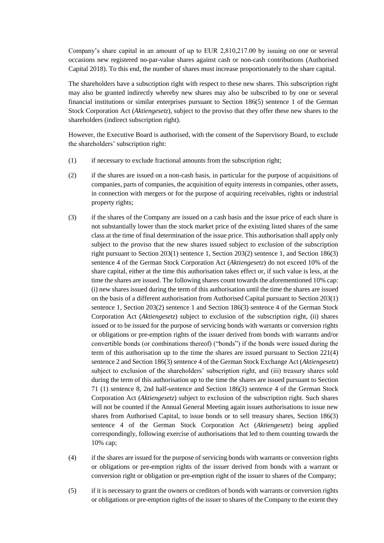Company's share capital in an amount of up to EUR 2,810,217.00 by issuing on one or several occasions new registered no-par-value shares against cash or non-cash contributions (Authorised Capital 2018). To this end, the number of shares must increase proportionately to the share capital.

The shareholders have a subscription right with respect to these new shares. This subscription right may also be granted indirectly whereby new shares may also be subscribed to by one or several financial institutions or similar enterprises pursuant to Section 186(5) sentence 1 of the German Stock Corporation Act (*Aktiengesetz*), subject to the proviso that they offer these new shares to the shareholders (indirect subscription right).

However, the Executive Board is authorised, with the consent of the Supervisory Board, to exclude the shareholders' subscription right:

- (1) if necessary to exclude fractional amounts from the subscription right;
- (2) if the shares are issued on a non-cash basis, in particular for the purpose of acquisitions of companies, parts of companies, the acquisition of equity interests in companies, other assets, in connection with mergers or for the purpose of acquiring receivables, rights or industrial property rights;
- (3) if the shares of the Company are issued on a cash basis and the issue price of each share is not substantially lower than the stock market price of the existing listed shares of the same class at the time of final determination of the issue price. This authorisation shall apply only subject to the proviso that the new shares issued subject to exclusion of the subscription right pursuant to Section 203(1) sentence 1, Section 203(2) sentence 1, and Section 186(3) sentence 4 of the German Stock Corporation Act (*Aktiengesetz*) do not exceed 10% of the share capital, either at the time this authorisation takes effect or, if such value is less, at the time the shares are issued. The following shares count towards the aforementioned 10% cap: (i) new shares issued during the term of this authorisation until the time the shares are issued on the basis of a different authorisation from Authorised Capital pursuant to Section 203(1) sentence 1, Section 203(2) sentence 1 and Section 186(3) sentence 4 of the German Stock Corporation Act (*Aktiengesetz*) subject to exclusion of the subscription right, (ii) shares issued or to be issued for the purpose of servicing bonds with warrants or conversion rights or obligations or pre-emption rights of the issuer derived from bonds with warrants and/or convertible bonds (or combinations thereof) ("bonds") if the bonds were issued during the term of this authorisation up to the time the shares are issued pursuant to Section 221(4) sentence 2 and Section 186(3) sentence 4 of the German Stock Exchange Act (*Aktiengesetz*) subject to exclusion of the shareholders' subscription right, and (iii) treasury shares sold during the term of this authorisation up to the time the shares are issued pursuant to Section 71 (1) sentence 8, 2nd half-sentence and Section 186(3) sentence 4 of the German Stock Corporation Act (*Aktiengesetz*) subject to exclusion of the subscription right. Such shares will not be counted if the Annual General Meeting again issues authorisations to issue new shares from Authorised Capital, to issue bonds or to sell treasury shares, Section 186(3) sentence 4 of the German Stock Corporation Act (*Aktiengesetz*) being applied correspondingly, following exercise of authorisations that led to them counting towards the 10% cap;
- (4) if the shares are issued for the purpose of servicing bonds with warrants or conversion rights or obligations or pre-emption rights of the issuer derived from bonds with a warrant or conversion right or obligation or pre-emption right of the issuer to shares of the Company;
- (5) if it is necessary to grant the owners or creditors of bonds with warrants or conversion rights or obligations or pre-emption rights of the issuer to shares of the Company to the extent they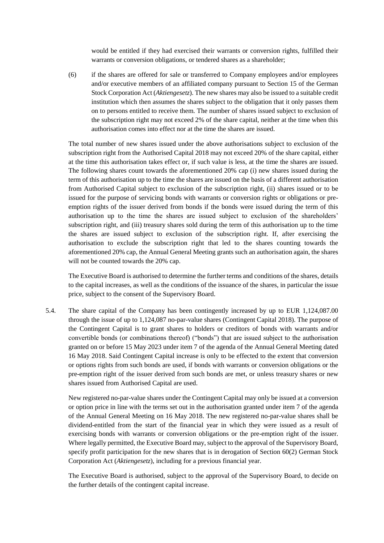would be entitled if they had exercised their warrants or conversion rights, fulfilled their warrants or conversion obligations, or tendered shares as a shareholder;

(6) if the shares are offered for sale or transferred to Company employees and/or employees and/or executive members of an affiliated company pursuant to Section 15 of the German Stock Corporation Act (*Aktiengesetz*). The new shares may also be issued to a suitable credit institution which then assumes the shares subject to the obligation that it only passes them on to persons entitled to receive them. The number of shares issued subject to exclusion of the subscription right may not exceed 2% of the share capital, neither at the time when this authorisation comes into effect nor at the time the shares are issued.

The total number of new shares issued under the above authorisations subject to exclusion of the subscription right from the Authorised Capital 2018 may not exceed 20% of the share capital, either at the time this authorisation takes effect or, if such value is less, at the time the shares are issued. The following shares count towards the aforementioned 20% cap (i) new shares issued during the term of this authorisation up to the time the shares are issued on the basis of a different authorisation from Authorised Capital subject to exclusion of the subscription right, (ii) shares issued or to be issued for the purpose of servicing bonds with warrants or conversion rights or obligations or preemption rights of the issuer derived from bonds if the bonds were issued during the term of this authorisation up to the time the shares are issued subject to exclusion of the shareholders' subscription right, and (iii) treasury shares sold during the term of this authorisation up to the time the shares are issued subject to exclusion of the subscription right. If, after exercising the authorisation to exclude the subscription right that led to the shares counting towards the aforementioned 20% cap, the Annual General Meeting grants such an authorisation again, the shares will not be counted towards the 20% cap.

The Executive Board is authorised to determine the further terms and conditions of the shares, details to the capital increases, as well as the conditions of the issuance of the shares, in particular the issue price, subject to the consent of the Supervisory Board.

5.4. The share capital of the Company has been contingently increased by up to EUR 1,124,087.00 through the issue of up to 1,124,087 no-par-value shares (Contingent Capital 2018). The purpose of the Contingent Capital is to grant shares to holders or creditors of bonds with warrants and/or convertible bonds (or combinations thereof) ("bonds") that are issued subject to the authorisation granted on or before 15 May 2023 under item 7 of the agenda of the Annual General Meeting dated 16 May 2018. Said Contingent Capital increase is only to be effected to the extent that conversion or options rights from such bonds are used, if bonds with warrants or conversion obligations or the pre-emption right of the issuer derived from such bonds are met, or unless treasury shares or new shares issued from Authorised Capital are used.

New registered no-par-value shares under the Contingent Capital may only be issued at a conversion or option price in line with the terms set out in the authorisation granted under item 7 of the agenda of the Annual General Meeting on 16 May 2018. The new registered no-par-value shares shall be dividend-entitled from the start of the financial year in which they were issued as a result of exercising bonds with warrants or conversion obligations or the pre-emption right of the issuer. Where legally permitted, the Executive Board may, subject to the approval of the Supervisory Board, specify profit participation for the new shares that is in derogation of Section 60(2) German Stock Corporation Act (*Aktiengesetz*), including for a previous financial year.

The Executive Board is authorised, subject to the approval of the Supervisory Board, to decide on the further details of the contingent capital increase.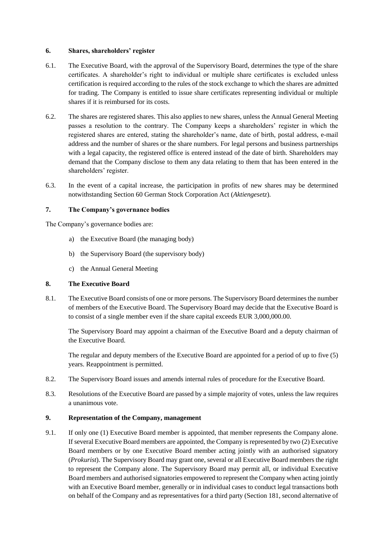### **6. Shares, shareholders' register**

- 6.1. The Executive Board, with the approval of the Supervisory Board, determines the type of the share certificates. A shareholder's right to individual or multiple share certificates is excluded unless certification is required according to the rules of the stock exchange to which the shares are admitted for trading. The Company is entitled to issue share certificates representing individual or multiple shares if it is reimbursed for its costs.
- 6.2. The shares are registered shares. This also applies to new shares, unless the Annual General Meeting passes a resolution to the contrary. The Company keeps a shareholders' register in which the registered shares are entered, stating the shareholder's name, date of birth, postal address, e-mail address and the number of shares or the share numbers. For legal persons and business partnerships with a legal capacity, the registered office is entered instead of the date of birth. Shareholders may demand that the Company disclose to them any data relating to them that has been entered in the shareholders' register.
- 6.3. In the event of a capital increase, the participation in profits of new shares may be determined notwithstanding Section 60 German Stock Corporation Act (*Aktiengesetz*).

# **7. The Company's governance bodies**

The Company's governance bodies are:

- a) the Executive Board (the managing body)
- b) the Supervisory Board (the supervisory body)
- c) the Annual General Meeting

## **8. The Executive Board**

8.1. The Executive Board consists of one or more persons. The Supervisory Board determines the number of members of the Executive Board. The Supervisory Board may decide that the Executive Board is to consist of a single member even if the share capital exceeds EUR 3,000,000.00.

The Supervisory Board may appoint a chairman of the Executive Board and a deputy chairman of the Executive Board.

The regular and deputy members of the Executive Board are appointed for a period of up to five (5) years. Reappointment is permitted.

- <span id="page-3-0"></span>8.2. The Supervisory Board issues and amends internal rules of procedure for the Executive Board.
- 8.3. Resolutions of the Executive Board are passed by a simple majority of votes, unless the law requires a unanimous vote.

#### **9. Representation of the Company, management**

9.1. If only one (1) Executive Board member is appointed, that member represents the Company alone. If several Executive Board members are appointed, the Company is represented by two (2) Executive Board members or by one Executive Board member acting jointly with an authorised signatory (*Prokurist*). The Supervisory Board may grant one, several or all Executive Board members the right to represent the Company alone. The Supervisory Board may permit all, or individual Executive Board members and authorised signatories empowered to represent the Company when acting jointly with an Executive Board member, generally or in individual cases to conduct legal transactions both on behalf of the Company and as representatives for a third party (Section 181, second alternative of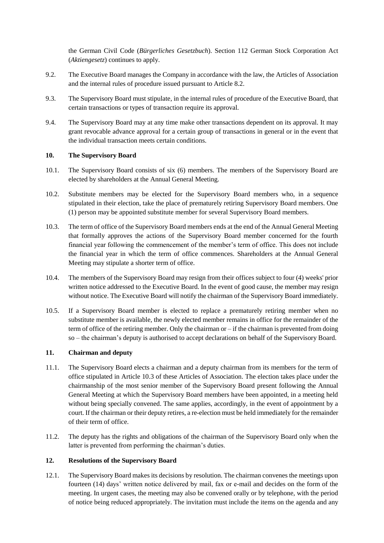the German Civil Code (*Bürgerliches Gesetzbuch*). Section 112 German Stock Corporation Act (*Aktiengesetz*) continues to apply.

- 9.2. The Executive Board manages the Company in accordance with the law, the Articles of Association and the internal rules of procedure issued pursuant to Article [8.2.](#page-3-0)
- 9.3. The Supervisory Board must stipulate, in the internal rules of procedure of the Executive Board, that certain transactions or types of transaction require its approval.
- 9.4. The Supervisory Board may at any time make other transactions dependent on its approval. It may grant revocable advance approval for a certain group of transactions in general or in the event that the individual transaction meets certain conditions.

## **10. The Supervisory Board**

- 10.1. The Supervisory Board consists of six (6) members. The members of the Supervisory Board are elected by shareholders at the Annual General Meeting.
- 10.2. Substitute members may be elected for the Supervisory Board members who, in a sequence stipulated in their election, take the place of prematurely retiring Supervisory Board members. One (1) person may be appointed substitute member for several Supervisory Board members.
- 10.3. The term of office of the Supervisory Board members ends at the end of the Annual General Meeting that formally approves the actions of the Supervisory Board member concerned for the fourth financial year following the commencement of the member's term of office. This does not include the financial year in which the term of office commences. Shareholders at the Annual General Meeting may stipulate a shorter term of office.
- 10.4. The members of the Supervisory Board may resign from their offices subject to four (4) weeks' prior written notice addressed to the Executive Board. In the event of good cause, the member may resign without notice. The Executive Board will notify the chairman of the Supervisory Board immediately.
- 10.5. If a Supervisory Board member is elected to replace a prematurely retiring member when no substitute member is available, the newly elected member remains in office for the remainder of the term of office of the retiring member. Only the chairman or – if the chairman is prevented from doing so – the chairman's deputy is authorised to accept declarations on behalf of the Supervisory Board.

# **11. Chairman and deputy**

- 11.1. The Supervisory Board elects a chairman and a deputy chairman from its members for the term of office stipulated in Article 10.3 of these Articles of Association. The election takes place under the chairmanship of the most senior member of the Supervisory Board present following the Annual General Meeting at which the Supervisory Board members have been appointed, in a meeting held without being specially convened. The same applies, accordingly, in the event of appointment by a court. If the chairman or their deputy retires, a re-election must be held immediately for the remainder of their term of office.
- 11.2. The deputy has the rights and obligations of the chairman of the Supervisory Board only when the latter is prevented from performing the chairman's duties.

## **12. Resolutions of the Supervisory Board**

12.1. The Supervisory Board makes its decisions by resolution. The chairman convenes the meetings upon fourteen (14) days' written notice delivered by mail, fax or e-mail and decides on the form of the meeting. In urgent cases, the meeting may also be convened orally or by telephone, with the period of notice being reduced appropriately. The invitation must include the items on the agenda and any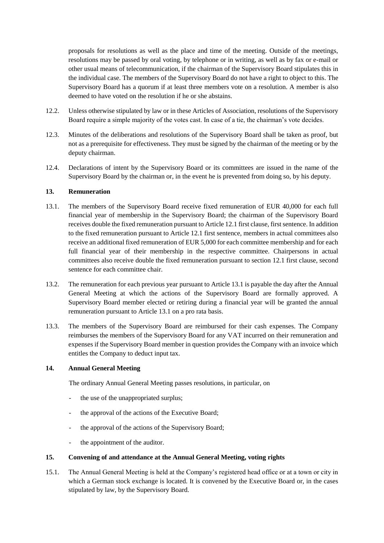proposals for resolutions as well as the place and time of the meeting. Outside of the meetings, resolutions may be passed by oral voting, by telephone or in writing, as well as by fax or e-mail or other usual means of telecommunication, if the chairman of the Supervisory Board stipulates this in the individual case. The members of the Supervisory Board do not have a right to object to this. The Supervisory Board has a quorum if at least three members vote on a resolution. A member is also deemed to have voted on the resolution if he or she abstains.

- 12.2. Unless otherwise stipulated by law or in these Articles of Association, resolutions of the Supervisory Board require a simple majority of the votes cast. In case of a tie, the chairman's vote decides.
- 12.3. Minutes of the deliberations and resolutions of the Supervisory Board shall be taken as proof, but not as a prerequisite for effectiveness. They must be signed by the chairman of the meeting or by the deputy chairman.
- 12.4. Declarations of intent by the Supervisory Board or its committees are issued in the name of the Supervisory Board by the chairman or, in the event he is prevented from doing so, by his deputy.

## **13. Remuneration**

- 13.1. The members of the Supervisory Board receive fixed remuneration of EUR 40,000 for each full financial year of membership in the Supervisory Board; the chairman of the Supervisory Board receives double the fixed remuneration pursuant to Article 12.1 first clause, first sentence. In addition to the fixed remuneration pursuant to Article 12.1 first sentence, members in actual committees also receive an additional fixed remuneration of EUR 5,000 for each committee membership and for each full financial year of their membership in the respective committee. Chairpersons in actual committees also receive double the fixed remuneration pursuant to section 12.1 first clause, second sentence for each committee chair.
- 13.2. The remuneration for each previous year pursuant to Article 13.1 is payable the day after the Annual General Meeting at which the actions of the Supervisory Board are formally approved. A Supervisory Board member elected or retiring during a financial year will be granted the annual remuneration pursuant to Article 13.1 on a pro rata basis.
- 13.3. The members of the Supervisory Board are reimbursed for their cash expenses. The Company reimburses the members of the Supervisory Board for any VAT incurred on their remuneration and expenses if the Supervisory Board member in question provides the Company with an invoice which entitles the Company to deduct input tax.

### **14. Annual General Meeting**

The ordinary Annual General Meeting passes resolutions, in particular, on

- the use of the unappropriated surplus;
- the approval of the actions of the Executive Board;
- the approval of the actions of the Supervisory Board;
- the appointment of the auditor.

#### **15. Convening of and attendance at the Annual General Meeting, voting rights**

15.1. The Annual General Meeting is held at the Company's registered head office or at a town or city in which a German stock exchange is located. It is convened by the Executive Board or, in the cases stipulated by law, by the Supervisory Board.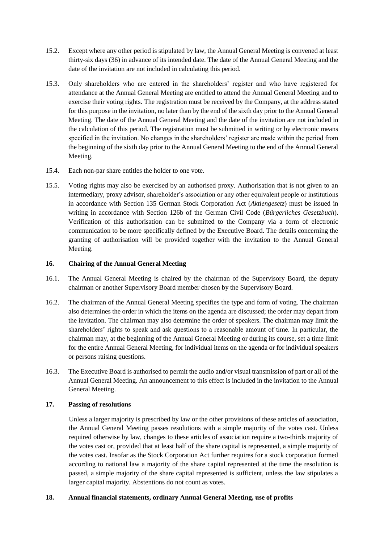- 15.2. Except where any other period is stipulated by law, the Annual General Meeting is convened at least thirty-six days (36) in advance of its intended date. The date of the Annual General Meeting and the date of the invitation are not included in calculating this period.
- 15.3. Only shareholders who are entered in the shareholders' register and who have registered for attendance at the Annual General Meeting are entitled to attend the Annual General Meeting and to exercise their voting rights. The registration must be received by the Company, at the address stated for this purpose in the invitation, no later than by the end of the sixth day prior to the Annual General Meeting. The date of the Annual General Meeting and the date of the invitation are not included in the calculation of this period. The registration must be submitted in writing or by electronic means specified in the invitation. No changes in the shareholders' register are made within the period from the beginning of the sixth day prior to the Annual General Meeting to the end of the Annual General Meeting.
- 15.4. Each non-par share entitles the holder to one vote.
- 15.5. Voting rights may also be exercised by an authorised proxy. Authorisation that is not given to an intermediary, proxy advisor, shareholder's association or any other equivalent people or institutions in accordance with Section 135 German Stock Corporation Act (*Aktiengesetz*) must be issued in writing in accordance with Section 126b of the German Civil Code (*Bürgerliches Gesetzbuch*). Verification of this authorisation can be submitted to the Company via a form of electronic communication to be more specifically defined by the Executive Board. The details concerning the granting of authorisation will be provided together with the invitation to the Annual General Meeting.

# **16. Chairing of the Annual General Meeting**

- 16.1. The Annual General Meeting is chaired by the chairman of the Supervisory Board, the deputy chairman or another Supervisory Board member chosen by the Supervisory Board.
- 16.2. The chairman of the Annual General Meeting specifies the type and form of voting. The chairman also determines the order in which the items on the agenda are discussed; the order may depart from the invitation. The chairman may also determine the order of speakers. The chairman may limit the shareholders' rights to speak and ask questions to a reasonable amount of time. In particular, the chairman may, at the beginning of the Annual General Meeting or during its course, set a time limit for the entire Annual General Meeting, for individual items on the agenda or for individual speakers or persons raising questions.
- 16.3. The Executive Board is authorised to permit the audio and/or visual transmission of part or all of the Annual General Meeting. An announcement to this effect is included in the invitation to the Annual General Meeting.

## **17. Passing of resolutions**

Unless a larger majority is prescribed by law or the other provisions of these articles of association, the Annual General Meeting passes resolutions with a simple majority of the votes cast. Unless required otherwise by law, changes to these articles of association require a two-thirds majority of the votes cast or, provided that at least half of the share capital is represented, a simple majority of the votes cast. Insofar as the Stock Corporation Act further requires for a stock corporation formed according to national law a majority of the share capital represented at the time the resolution is passed, a simple majority of the share capital represented is sufficient, unless the law stipulates a larger capital majority. Abstentions do not count as votes.

## **18. Annual financial statements, ordinary Annual General Meeting, use of profits**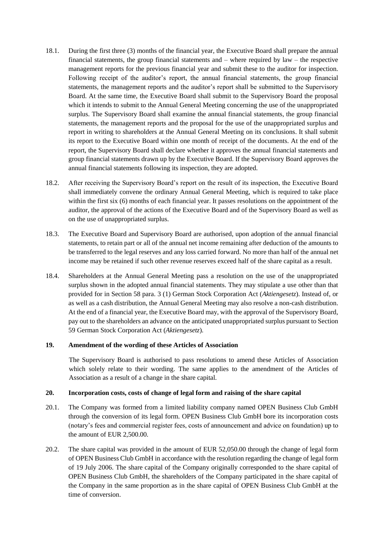- 18.1. During the first three (3) months of the financial year, the Executive Board shall prepare the annual financial statements, the group financial statements and – where required by law – the respective management reports for the previous financial year and submit these to the auditor for inspection. Following receipt of the auditor's report, the annual financial statements, the group financial statements, the management reports and the auditor's report shall be submitted to the Supervisory Board. At the same time, the Executive Board shall submit to the Supervisory Board the proposal which it intends to submit to the Annual General Meeting concerning the use of the unappropriated surplus. The Supervisory Board shall examine the annual financial statements, the group financial statements, the management reports and the proposal for the use of the unappropriated surplus and report in writing to shareholders at the Annual General Meeting on its conclusions. It shall submit its report to the Executive Board within one month of receipt of the documents. At the end of the report, the Supervisory Board shall declare whether it approves the annual financial statements and group financial statements drawn up by the Executive Board. If the Supervisory Board approves the annual financial statements following its inspection, they are adopted.
- 18.2. After receiving the Supervisory Board's report on the result of its inspection, the Executive Board shall immediately convene the ordinary Annual General Meeting, which is required to take place within the first six (6) months of each financial year. It passes resolutions on the appointment of the auditor, the approval of the actions of the Executive Board and of the Supervisory Board as well as on the use of unappropriated surplus.
- 18.3. The Executive Board and Supervisory Board are authorised, upon adoption of the annual financial statements, to retain part or all of the annual net income remaining after deduction of the amounts to be transferred to the legal reserves and any loss carried forward. No more than half of the annual net income may be retained if such other revenue reserves exceed half of the share capital as a result.
- 18.4. Shareholders at the Annual General Meeting pass a resolution on the use of the unappropriated surplus shown in the adopted annual financial statements. They may stipulate a use other than that provided for in Section 58 para. 3 (1) German Stock Corporation Act (*Aktiengesetz*). Instead of, or as well as a cash distribution, the Annual General Meeting may also resolve a non-cash distribution. At the end of a financial year, the Executive Board may, with the approval of the Supervisory Board, pay out to the shareholders an advance on the anticipated unappropriated surplus pursuant to Section 59 German Stock Corporation Act (*Aktiengesetz*).

# **19. Amendment of the wording of these Articles of Association**

The Supervisory Board is authorised to pass resolutions to amend these Articles of Association which solely relate to their wording. The same applies to the amendment of the Articles of Association as a result of a change in the share capital.

## **20. Incorporation costs, costs of change of legal form and raising of the share capital**

- 20.1. The Company was formed from a limited liability company named OPEN Business Club GmbH through the conversion of its legal form. OPEN Business Club GmbH bore its incorporation costs (notary's fees and commercial register fees, costs of announcement and advice on foundation) up to the amount of EUR 2,500.00.
- 20.2. The share capital was provided in the amount of EUR 52,050.00 through the change of legal form of OPEN Business Club GmbH in accordance with the resolution regarding the change of legal form of 19 July 2006. The share capital of the Company originally corresponded to the share capital of OPEN Business Club GmbH, the shareholders of the Company participated in the share capital of the Company in the same proportion as in the share capital of OPEN Business Club GmbH at the time of conversion.